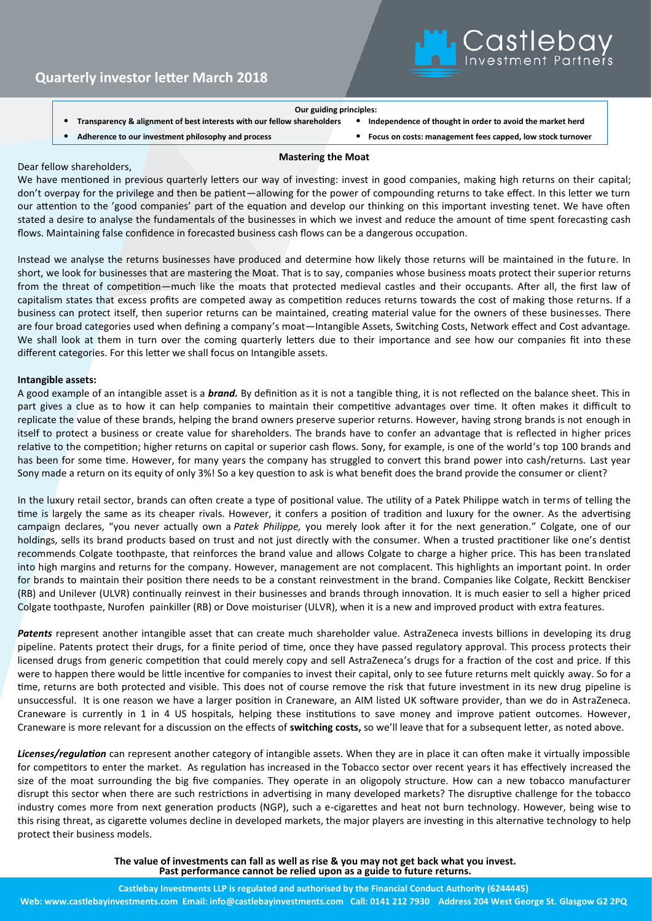

### **Our guiding principles:**

- **Transparency & alignment of best interests with our fellow shareholders** • **Independence of thought in order to avoid the market herd**
	-
- 
- **Adherence to our investment philosophy and process** • **Focus on costs: management fees capped, low stock turnover**

### Dear fellow shareholders,

# **Mastering the Moat**

We have mentioned in previous quarterly letters our way of investing: invest in good companies, making high returns on their capital; don't overpay for the privilege and then be patient—allowing for the power of compounding returns to take effect. In this letter we turn our attention to the 'good companies' part of the equation and develop our thinking on this important investing tenet. We have often stated a desire to analyse the fundamentals of the businesses in which we invest and reduce the amount of time spent forecasting cash flows. Maintaining false confidence in forecasted business cash flows can be a dangerous occupation.

Instead we analyse the returns businesses have produced and determine how likely those returns will be maintained in the future. In short, we look for businesses that are mastering the Moat. That is to say, companies whose business moats protect their superior returns from the threat of competition—much like the moats that protected medieval castles and their occupants. After all, the first law of capitalism states that excess profits are competed away as competition reduces returns towards the cost of making those returns. If a business can protect itself, then superior returns can be maintained, creating material value for the owners of these businesses. There are four broad categories used when defining a company's moat—Intangible Assets, Switching Costs, Network effect and Cost advantage. We shall look at them in turn over the coming quarterly letters due to their importance and see how our companies fit into these different categories. For this letter we shall focus on Intangible assets.

## **Intangible assets:**

A good example of an intangible asset is a *brand.* By definition as it is not a tangible thing, it is not reflected on the balance sheet. This in part gives a clue as to how it can help companies to maintain their competitive advantages over time. It often makes it difficult to replicate the value of these brands, helping the brand owners preserve superior returns. However, having strong brands is not enough in itself to protect a business or create value for shareholders. The brands have to confer an advantage that is reflected in higher prices relative to the competition; higher returns on capital or superior cash flows. Sony, for example, is one of the world's top 100 brands and has been for some time. However, for many years the company has struggled to convert this brand power into cash/returns. Last year Sony made a return on its equity of only 3%! So a key question to ask is what benefit does the brand provide the consumer or client?

In the luxury retail sector, brands can often create a type of positional value. The utility of a Patek Philippe watch in terms of telling the time is largely the same as its cheaper rivals. However, it confers a position of tradition and luxury for the owner. As the advertising campaign declares, "you never actually own a *Patek Philippe,* you merely look after it for the next generation." Colgate, one of our holdings, sells its brand products based on trust and not just directly with the consumer. When a trusted practitioner like one's dentist recommends Colgate toothpaste, that reinforces the brand value and allows Colgate to charge a higher price. This has been translated into high margins and returns for the company. However, management are not complacent. This highlights an important point. In order for brands to maintain their position there needs to be a constant reinvestment in the brand. Companies like Colgate, Reckitt Benckiser (RB) and Unilever (ULVR) continually reinvest in their businesses and brands through innovation. It is much easier to sell a higher priced Colgate toothpaste, Nurofen painkiller (RB) or Dove moisturiser (ULVR), when it is a new and improved product with extra features.

Patents represent another intangible asset that can create much shareholder value. AstraZeneca invests billions in developing its drug pipeline. Patents protect their drugs, for a finite period of time, once they have passed regulatory approval. This process protects their licensed drugs from generic competition that could merely copy and sell AstraZeneca's drugs for a fraction of the cost and price. If this were to happen there would be little incentive for companies to invest their capital, only to see future returns melt quickly away. So for a time, returns are both protected and visible. This does not of course remove the risk that future investment in its new drug pipeline is unsuccessful. It is one reason we have a larger position in Craneware, an AIM listed UK software provider, than we do in AstraZeneca. Craneware is currently in 1 in 4 US hospitals, helping these institutions to save money and improve patient outcomes. However, Craneware is more relevant for a discussion on the effects of **switching costs,** so we'll leave that for a subsequent letter, as noted above.

*Licenses/regulation* can represent another category of intangible assets. When they are in place it can often make it virtually impossible for competitors to enter the market. As regulation has increased in the Tobacco sector over recent years it has effectively increased the size of the moat surrounding the big five companies. They operate in an oligopoly structure. How can a new tobacco manufacturer disrupt this sector when there are such restrictions in advertising in many developed markets? The disruptive challenge for the tobacco industry comes more from next generation products (NGP), such a e-cigarettes and heat not burn technology. However, being wise to this rising threat, as cigarette volumes decline in developed markets, the major players are investing in this alternative technology to help protect their business models.

> **The value of investments can fall as well as rise & you may not get back what you invest. Past performance cannot be relied upon as a guide to future returns.**